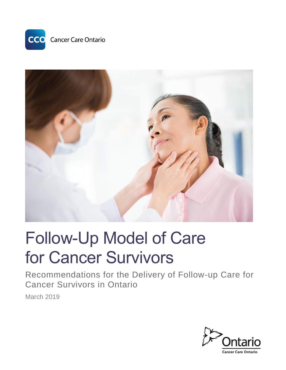



# Follow-Up Model of Care for Cancer Survivors

Recommendations for the Delivery of Follow-up Care for Cancer Survivors in Ontario

March 2019

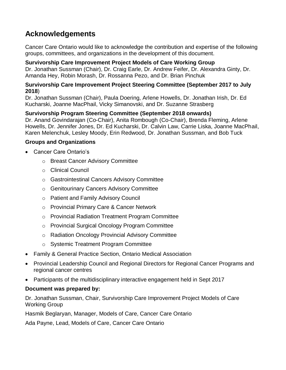### **Acknowledgements**

Cancer Care Ontario would like to acknowledge the contribution and expertise of the following groups, committees, and organizations in the development of this document.

#### **Survivorship Care Improvement Project Models of Care Working Group**

Dr. Jonathan Sussman (Chair), Dr. Craig Earle, Dr. Andrew Feifer, Dr. Alexandra Ginty, Dr. Amanda Hey, Robin Morash, Dr. Rossanna Pezo, and Dr. Brian Pinchuk

#### **Survivorship Care Improvement Project Steering Committee (September 2017 to July 2018**)

Dr. Jonathan Sussman (Chair), Paula Doering, Arlene Howells, Dr. Jonathan Irish, Dr. Ed Kucharski, Joanne MacPhail, Vicky Simanovski, and Dr. Suzanne Strasberg

#### **Survivorship Program Steering Committee (September 2018 onwards)**

Dr. Anand Govindarajan (Co-Chair), Anita Rombough (Co-Chair), Brenda Fleming, Arlene Howells, Dr. Jennifer Jones, Dr. Ed Kucharski, Dr. Calvin Law, Carrie Liska, Joanne MacPhail, Karen Melenchuk, Lesley Moody, Erin Redwood, Dr. Jonathan Sussman, and Bob Tuck

#### **Groups and Organizations**

- Cancer Care Ontario's
	- o Breast Cancer Advisory Committee
	- o Clinical Council
	- o Gastrointestinal Cancers Advisory Committee
	- o Genitourinary Cancers Advisory Committee
	- o Patient and Family Advisory Council
	- o Provincial Primary Care & Cancer Network
	- o Provincial Radiation Treatment Program Committee
	- o Provincial Surgical Oncology Program Committee
	- o Radiation Oncology Provincial Advisory Committee
	- o Systemic Treatment Program Committee
- Family & General Practice Section, Ontario Medical Association
- Provincial Leadership Council and Regional Directors for Regional Cancer Programs and regional cancer centres
- Participants of the multidisciplinary interactive engagement held in Sept 2017

#### **Document was prepared by:**

Dr. Jonathan Sussman, Chair, Survivorship Care Improvement Project Models of Care Working Group

Hasmik Beglaryan, Manager, Models of Care, Cancer Care Ontario

Ada Payne, Lead, Models of Care, Cancer Care Ontario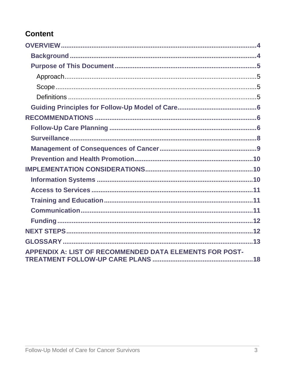### **Content**

| <b>APPENDIX A: LIST OF RECOMMENDED DATA ELEMENTS FOR POST-</b> |  |
|----------------------------------------------------------------|--|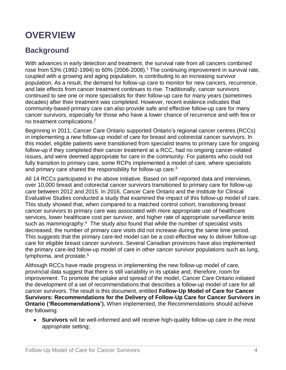# <span id="page-3-0"></span>**OVERVIEW**

### <span id="page-3-1"></span>**Background**

With advances in early detection and treatment, the survival rate from all cancers combined rose from 53% (1992-1994) to 60% (2006-2008).<sup>1</sup> The continuing improvement in survival rate, coupled with a growing and aging population, is contributing to an increasing survivor population. As a result, the demand for follow-up care to monitor for new cancers, recurrence, and late effects from cancer treatment continues to rise. Traditionally, cancer survivors continued to see one or more specialists for their follow-up care for many years (sometimes decades) after their treatment was completed. However, recent evidence indicates that community-based primary care can also provide safe and effective follow-up care for many cancer survivors, especially for those who have a lower chance of recurrence and with few or no treatment complications. 2

<span id="page-3-2"></span>Beginning in 2011, Cancer Care Ontario supported Ontario's regional cancer centres (RCCs) in implementing a new follow-up model of care for breast and colorectal cancer survivors. In this model, eligible patients were transitioned from specialist teams to primary care for ongoing follow-up if they completed their cancer treatment at a RCC, had no ongoing cancer-related issues, and were deemed appropriate for care in the community. For patients who could not fully transition to primary care, some RCPs implemented a model of care, where specialists and primary care shared the responsibility for follow-up care.<sup>3</sup>

<span id="page-3-4"></span>All 14 RCCs participated in the above initiative. Based on self-reported data and interviews, over 10,000 breast and colorectal cancer survivors transitioned to primary care for follow-up care between 2012 and 2015. In 2016, Cancer Care Ontario and the Institute for Clinical Evaluative Studies conducted a study that examined the impact of this follow-up model of care. This study showed that, when compared to a matched control cohort, transitioning breast cancer survivors to primary care was associated with more appropriate use of healthcare services, lower healthcare cost per survivor, and higher rate of appropriate surveillance tests such as mammography.<sup>4</sup> The study also found that while the number of specialist visits decreased, the number of primary care visits did not increase during the same time period. This suggests that the primary care-led model can be a cost-effective way to deliver follow-up care for eligible breast cancer survivors. Several Canadian provinces have also implemented the primary care-led follow-up model of care in other cancer survivor populations such as lung, lymphoma, and prostate.<sup>5</sup>

<span id="page-3-3"></span>Although RCCs have made progress in implementing the new follow-up model of care, provincial data suggest that there is still variability in its uptake and, therefore, room for improvement. To promote the uptake and spread of the model, Cancer Care Ontario initiated the development of a set of recommendations that describes a follow-up model of care for all cancer survivors. The result is this document, entitled **Follow-Up Model of Care for Cancer Survivors: Recommendations for the Delivery of Follow-Up Care for Cancer Survivors in Ontario ('Recommendations').** When implemented, the Recommendations should achieve the following:

 **Survivors** will be well-informed and will receive high-quality follow-up care in the most appropriate setting;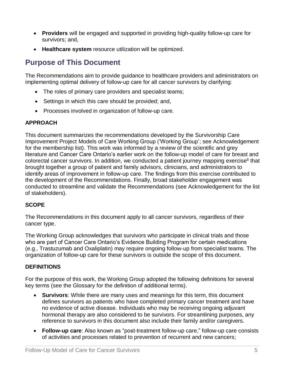- **Providers** will be engaged and supported in providing high-quality follow-up care for survivors; and,
- **Healthcare system** resource utilization will be optimized.

### <span id="page-4-0"></span>**Purpose of This Document**

The Recommendations aim to provide guidance to healthcare providers and administrators on implementing optimal delivery of follow-up care for all cancer survivors by clarifying:

- The roles of primary care providers and specialist teams;
- Settings in which this care should be provided; and,
- Processes involved in organization of follow-up care.

#### <span id="page-4-1"></span>**APPROACH**

This document summarizes the recommendations developed by the Survivorship Care Improvement Project Models of Care Working Group ('Working Group'; see Acknowledgement for the membership list). This work was informed by a review of the scientific and grey literature and Cancer Care Ontario's earlier work on the follow-up model of care for breast and colorectal cancer survivors. In addition, we conducted a patient journey mapping exercise<sup>6</sup> that brought together a group of patient and family advisors, clinicians, and administrators to identify areas of improvement in follow-up care. The findings from this exercise contributed to the development of the Recommendations. Finally, broad stakeholder engagement was conducted to streamline and validate the Recommendations (see Acknowledgement for the list of stakeholders).

#### <span id="page-4-2"></span>**SCOPE**

The Recommendations in this document apply to all cancer survivors, regardless of their cancer type.

The Working Group acknowledges that survivors who participate in clinical trials and those who are part of Cancer Care Ontario's Evidence Building Program for certain medications (e.g., Trastuzumab and Oxaliplatin) may require ongoing follow-up from specialist teams. The organization of follow-up care for these survivors is outside the scope of this document.

#### <span id="page-4-3"></span>**DEFINITIONS**

For the purpose of this work, the Working Group adopted the following definitions for several key terms (see the Glossary for the definition of additional terms).

- **Survivors**: While there are many uses and meanings for this term, this document defines survivors as patients who have completed primary cancer treatment and have no evidence of active disease. Individuals who may be receiving ongoing adjuvant hormonal therapy are also considered to be survivors. For streamlining purposes, any reference to survivors in this document also include their family and/or caregivers.
- **Follow-up care**: Also known as "post-treatment follow-up care," follow-up care consists of activities and processes related to prevention of recurrent and new cancers;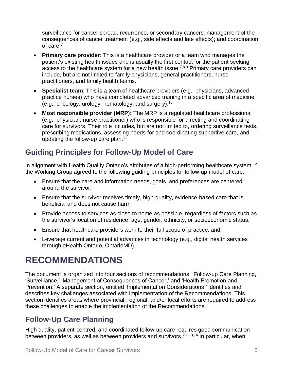<span id="page-5-3"></span>surveillance for cancer spread, recurrence, or secondary cancers; management of the consequences of cancer treatment (e.g., side effects and late effects); and coordination of care.<sup>7</sup>

- **Primary care provider**: This is a healthcare provider or a team who manages the patient's existing health issues and is usually the first contact for the patient seeking access to the healthcare system for a new health issue.<sup>[7,8](#page-5-3),9</sup> Primary care providers can include, but are not limited to family physicians, general practitioners, nurse practitioners, and family health teams.
- **Specialist team**: This is a team of healthcare providers (e.g., physicians, advanced practice nurses) who have completed advanced training in a specific area of medicine (e.g., oncology, urology, hematology, and surgery).<sup>10</sup>
- **Most responsible provider (MRP):** The MRP is a regulated healthcare professional (e.g., physician, nurse practitioner) who is responsible for directing and coordinating care for survivors. Their role includes, but are not limited to, ordering surveillance tests, prescribing medications, assessing needs for and coordinating supportive care, and updating the follow-up care plan. $11$

### <span id="page-5-0"></span>**Guiding Principles for Follow-Up Model of Care**

In alignment with Health Quality Ontario's attributes of a high-performing healthcare system,<sup>12</sup> the Working Group agreed to the following guiding principles for follow-up model of care:

- Ensure that the care and information needs, goals, and preferences are centered around the survivor;
- Ensure that the survivor receives timely, high-quality, evidence-based care that is beneficial and does not cause harm;
- Provide access to services as close to home as possible, regardless of factors such as the survivor's location of residence, age, gender, ethnicity, or socioeconomic status;
- Ensure that healthcare providers work to their full scope of practice, and;
- Leverage current and potential advances in technology (e.g., digital health services through eHealth Ontario, OntarioMD).

# <span id="page-5-1"></span>**RECOMMENDATIONS**

The document is organized into four sections of recommendations: 'Follow-up Care Planning,' 'Surveillance,' 'Management of Consequences of Cancer,' and 'Health Promotion and Prevention.' A separate section, entitled 'Implementation Considerations,' identifies and describes key challenges associated with implementation of the Recommendations. This section identifies areas where provincial, regional, and/or local efforts are required to address these challenges to enable the implementation of the Recommendations.

### <span id="page-5-2"></span>**Follow-Up Care Planning**

High quality, patient-centred, and coordinated follow-up care requires good communication between providers, as well as between providers and survivors.  $2,7,13,14$  $2,7,13,14$  $2,7,13,14$  In particular, when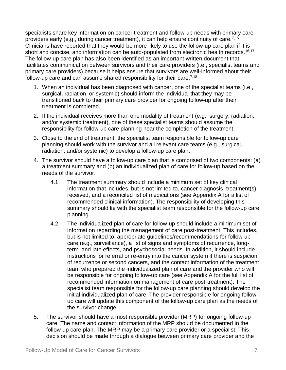specialists share key information on cancer treatment and follow-up needs with primary care providers early (e.g., during cancer treatment), it can help ensure continuity of care.<sup>[7,1](#page-5-3)5</sup> Clinicians have reported that they would be more likely to use the follow-up care plan if it is short and concise, and information can be auto-populated from electronic health records.<sup>16,17</sup> The follow-up care plan has also been identified as an important written document that facilitates communication between survivors and their care providers (i.e., specialist teams and primary care providers) because it helps ensure that survivors are well-informed about their follow-up care and can assume shared responsibility for their care.<sup> $7,18$  $7,18$ </sup>

- 1. When an individual has been diagnosed with cancer, one of the specialist teams (i.e., surgical, radiation, or systemic) should inform the individual that they may be transitioned back to their primary care provider for ongoing follow-up after their treatment is completed.
- 2. If the individual receives more than one modality of treatment (e.g., surgery, radiation, and/or systemic treatment), one of these specialist teams should assume the responsibility for follow-up care planning near the completion of the treatment.
- 3. Close to the end of treatment, the specialist team responsible for follow-up care planning should work with the survivor and all relevant care teams (e.g., surgical, radiation, and/or systemic) to develop a follow-up care plan.
- 4. The survivor should have a follow-up care plan that is comprised of two components: (a) a treatment summary and (b) an individualized plan of care for follow-up based on the needs of the survivor.
	- 4.1. The treatment summary should include a minimum set of key clinical information that includes, but is not limited to, cancer diagnosis, treatment(s) received, and a reconciled list of medications (see Appendix A for a list of recommended clinical information). The responsibility of developing this summary should lie with the specialist team responsible for the follow-up care planning.
	- 4.2. The individualized plan of care for follow-up should include a minimum set of information regarding the management of care post-treatment. This includes, but is not limited to, appropriate guidelines/recommendations for follow-up care (e.g., surveillance), a list of signs and symptoms of recurrence, longterm, and late effects, and psychosocial needs. In addition, it should include instructions for referral or re-entry into the cancer system if there is suspicion of recurrence or second cancers, and the contact information of the treatment team who prepared the individualized plan of care and the provider who will be responsible for ongoing follow-up care (see Appendix A for the full list of recommended information on management of care post-treatment). The specialist team responsible for the follow-up care planning should develop the initial individualized plan of care. The provider responsible for ongoing followup care will update this component of the follow-up care plan as the needs of the survivor change.
- 5. The survivor should have a most responsible provider (MRP) for ongoing follow-up care. The name and contact information of the MRP should be documented in the follow-up care plan. The MRP may be a primary care provider or a specialist. This decision should be made through a dialogue between primary care provider and the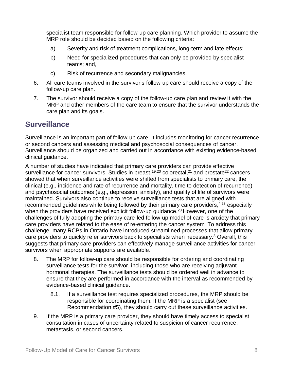specialist team responsible for follow-up care planning. Which provider to assume the MRP role should be decided based on the following criteria:

- a) Severity and risk of treatment complications, long-term and late effects;
- b) Need for specialized procedures that can only be provided by specialist teams; and,
- c) Risk of recurrence and secondary malignancies.
- 6. All care teams involved in the survivor's follow-up care should receive a copy of the follow-up care plan.
- 7. The survivor should receive a copy of the follow-up care plan and review it with the MRP and other members of the care team to ensure that the survivor understands the care plan and its goals.

#### <span id="page-7-0"></span>**Surveillance**

Surveillance is an important part of follow-up care. It includes monitoring for cancer recurrence or second cancers and assessing medical and psychosocial consequences of cancer. Surveillance should be organized and carried out in accordance with existing evidence-based clinical guidance.

A number of studies have indicated that primary care providers can provide effective surveillance for cancer survivors. Studies in breast,<sup>19,20</sup> colorectal,<sup>21</sup> and prostate<sup>22</sup> cancers showed that when surveillance activities were shifted from specialists to primary care, the clinical (e.g., incidence and rate of recurrence and mortality, time to detection of recurrence) and psychosocial outcomes (e.g., depression, anxiety), and quality of life of survivors were maintained. Survivors also continue to receive surveillance tests that are aligned with recommended guidelines while being followed by their primary care providers,<sup>[4,](#page-3-3)23</sup> especially when the providers have received explicit follow-up guidance.<sup>[23](#page-7-1)</sup> However, one of the challenges of fully adopting the primary care-led follow-up model of care is anxiety that primary care providers have related to the ease of re-entering the cancer system. To address this challenge, many RCPs in Ontario have introduced streamlined processes that allow primary care providers to quickly refer survivors back to specialists when necessary.[3](#page-3-4) Overall, this suggests that primary care providers can effectively manage surveillance activities for cancer survivors when appropriate supports are available.

- <span id="page-7-1"></span>8. The MRP for follow-up care should be responsible for ordering and coordinating surveillance tests for the survivor, including those who are receiving adjuvant hormonal therapies. The surveillance tests should be ordered well in advance to ensure that they are performed in accordance with the interval as recommended by evidence-based clinical guidance.
	- 8.1. If a surveillance test requires specialized procedures, the MRP should be responsible for coordinating them. If the MRP is a specialist (see Recommendation #5), they should carry out these surveillance activities.
- 9. If the MRP is a primary care provider, they should have timely access to specialist consultation in cases of uncertainty related to suspicion of cancer recurrence, metastasis, or second cancers.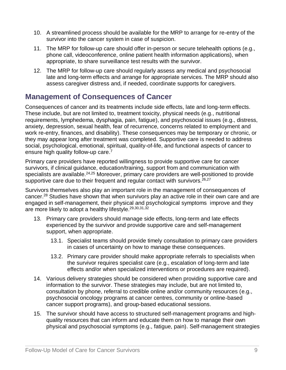- 10. A streamlined process should be available for the MRP to arrange for re-entry of the survivor into the cancer system in case of suspicion.
- 11. The MRP for follow-up care should offer in-person or secure telehealth options (e.g., phone call, videoconference, online patient health information applications), when appropriate, to share surveillance test results with the survivor.
- 12. The MRP for follow-up care should regularly assess any medical and psychosocial late and long-term effects and arrange for appropriate services. The MRP should also assess caregiver distress and, if needed, coordinate supports for caregivers.

### <span id="page-8-0"></span>**Management of Consequences of Cancer**

Consequences of cancer and its treatments include side effects, late and long-term effects. These include, but are not limited to, treatment toxicity, physical needs (e.g., nutritional requirements, lymphedema, dysphagia, pain, fatigue), and psychosocial issues (e.g., distress, anxiety, depression, sexual health, fear of recurrence, concerns related to employment and work re-entry, finances, and disability). These consequences may be temporary or chronic, or they may appear long after treatment was completed. Supportive care is needed to address social, psychological, emotional, spiritual, quality-of-life, and functional aspects of cancer to ensure high quality follow-up care.<sup>[7](#page-5-3)</sup>

Primary care providers have reported willingness to provide supportive care for cancer survivors, if clinical guidance, education/training, support from and communication with specialists are available.<sup>24,25</sup> Moreover, primary care providers are well-positioned to provide supportive care due to their frequent and regular contact with survivors.  $26,27$ 

Survivors themselves also play an important role in the management of consequences of cancer.<sup>28</sup> Studies have shown that when survivors play an active role in their own care and are engaged in self-management, their physical and psychological symptoms improve and they are more likely to adopt a healthy lifestyle.<sup>29,30,31,32</sup>

- 13. Primary care providers should manage side effects, long-term and late effects experienced by the survivor and provide supportive care and self-management support, when appropriate.
	- 13.1. Specialist teams should provide timely consultation to primary care providers in cases of uncertainty on how to manage these consequences.
	- 13.2. Primary care provider should make appropriate referrals to specialists when the survivor requires specialist care (e.g., escalation of long-term and late effects and/or when specialized interventions or procedures are required).
- 14. Various delivery strategies should be considered when providing supportive care and information to the survivor. These strategies may include, but are not limited to, consultation by phone, referral to credible online and/or community resources (e.g., psychosocial oncology programs at cancer centres, community or online-based cancer support programs), and group-based educational sessions.
- 15. The survivor should have access to structured self-management programs and highquality resources that can inform and educate them on how to manage their own physical and psychosocial symptoms (e.g., fatigue, pain). Self-management strategies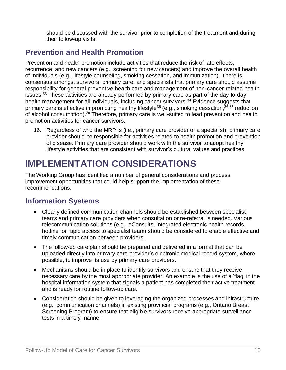should be discussed with the survivor prior to completion of the treatment and during their follow-up visits.

### <span id="page-9-0"></span>**Prevention and Health Promotion**

Prevention and health promotion include activities that reduce the risk of late effects, recurrence, and new cancers (e.g., screening for new cancers) and improve the overall health of individuals (e.g., lifestyle counseling, smoking cessation, and immunization). There is consensus amongst survivors, primary care, and specialists that primary care should assume responsibility for general preventive health care and management of non-cancer-related health issues.<sup>33</sup> These activities are already performed by primary care as part of the day-to-day health management for all individuals, including cancer survivors.<sup>34</sup> Evidence suggests that primary care is effective in promoting healthy lifestyle<sup>35</sup> (e.g., smoking cessation,  $36,37$  reduction of alcohol consumption).<sup>38</sup> Therefore, primary care is well-suited to lead prevention and health promotion activities for cancer survivors.

16. Regardless of who the MRP is (i.e., primary care provider or a specialist), primary care provider should be responsible for activities related to health promotion and prevention of disease. Primary care provider should work with the survivor to adopt healthy lifestyle activities that are consistent with survivor's cultural values and practices.

# <span id="page-9-1"></span>**IMPLEMENTATION CONSIDERATIONS**

The Working Group has identified a number of general considerations and process improvement opportunities that could help support the implementation of these recommendations.

### <span id="page-9-2"></span>**Information Systems**

- Clearly defined communication channels should be established between specialist teams and primary care providers when consultation or re-referral is needed. Various telecommunication solutions (e.g., eConsults, integrated electronic health records, hotline for rapid access to specialist team) should be considered to enable effective and timely communication between providers.
- The follow-up care plan should be prepared and delivered in a format that can be uploaded directly into primary care provider's electronic medical record system, where possible, to improve its use by primary care providers.
- Mechanisms should be in place to identify survivors and ensure that they receive necessary care by the most appropriate provider. An example is the use of a 'flag' in the hospital information system that signals a patient has completed their active treatment and is ready for routine follow-up care.
- Consideration should be given to leveraging the organized processes and infrastructure (e.g., communication channels) in existing provincial programs (e.g., Ontario Breast Screening Program) to ensure that eligible survivors receive appropriate surveillance tests in a timely manner.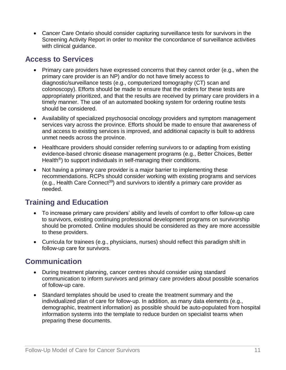Cancer Care Ontario should consider capturing surveillance tests for survivors in the Screening Activity Report in order to monitor the concordance of surveillance activities with clinical guidance.

#### <span id="page-10-0"></span>**Access to Services**

- Primary care providers have expressed concerns that they cannot order (e.g., when the primary care provider is an NP) and/or do not have timely access to diagnostic/surveillance tests (e.g., computerized tomography (CT) scan and colonoscopy). Efforts should be made to ensure that the orders for these tests are appropriately prioritized, and that the results are received by primary care providers in a timely manner. The use of an automated booking system for ordering routine tests should be considered.
- Availability of specialized psychosocial oncology providers and symptom management services vary across the province. Efforts should be made to ensure that awareness of and access to existing services is improved, and additional capacity is built to address unmet needs across the province.
- Healthcare providers should consider referring survivors to or adapting from existing evidence-based chronic disease management programs (e.g., Better Choices, Better Health®) to support individuals in self-managing their conditions.
- Not having a primary care provider is a major barrier to implementing these recommendations. RCPs should consider working with existing programs and services  $(e.q.,$  Health Care Connect<sup>39</sup>) and survivors to identify a primary care provider as needed.

### <span id="page-10-1"></span>**Training and Education**

- To increase primary care providers' ability and levels of comfort to offer follow-up care to survivors, existing continuing professional development programs on survivorship should be promoted. Online modules should be considered as they are more accessible to these providers.
- Curricula for trainees (e.g., physicians, nurses) should reflect this paradigm shift in follow-up care for survivors.

### <span id="page-10-2"></span>**Communication**

- During treatment planning, cancer centres should consider using standard communication to inform survivors and primary care providers about possible scenarios of follow-up care.
- Standard templates should be used to create the treatment summary and the individualized plan of care for follow-up. In addition, as many data elements (e.g., demographic, treatment information) as possible should be auto-populated from hospital information systems into the template to reduce burden on specialist teams when preparing these documents.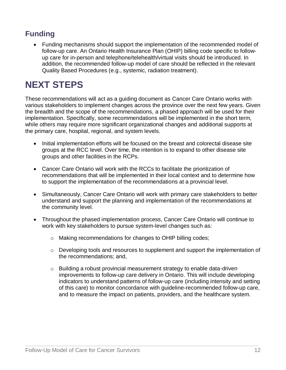### <span id="page-11-0"></span>**Funding**

 Funding mechanisms should support the implementation of the recommended model of follow-up care. An Ontario Health Insurance Plan (OHIP) billing code specific to followup care for in-person and telephone/telehealth/virtual visits should be introduced. In addition, the recommended follow-up model of care should be reflected in the relevant Quality Based Procedures (e.g., systemic, radiation treatment).

# <span id="page-11-1"></span>**NEXT STEPS**

These recommendations will act as a guiding document as Cancer Care Ontario works with various stakeholders to implement changes across the province over the next few years. Given the breadth and the scope of the recommendations, a phased approach will be used for their implementation. Specifically, some recommendations will be implemented in the short term, while others may require more significant organizational changes and additional supports at the primary care, hospital, regional, and system levels.

- Initial implementation efforts will be focused on the breast and colorectal disease site groups at the RCC level. Over time, the intention is to expand to other disease site groups and other facilities in the RCPs.
- Cancer Care Ontario will work with the RCCs to facilitate the prioritization of recommendations that will be implemented in their local context and to determine how to support the implementation of the recommendations at a provincial level.
- Simultaneously, Cancer Care Ontario will work with primary care stakeholders to better understand and support the planning and implementation of the recommendations at the community level.
- Throughout the phased implementation process, Cancer Care Ontario will continue to work with key stakeholders to pursue system-level changes such as:
	- o Making recommendations for changes to OHIP billing codes;
	- o Developing tools and resources to supplement and support the implementation of the recommendations; and,
	- o Building a robust provincial measurement strategy to enable data-driven improvements to follow-up care delivery in Ontario. This will include developing indicators to understand patterns of follow-up care (including intensity and setting of this care) to monitor concordance with guideline-recommended follow-up care, and to measure the impact on patients, providers, and the healthcare system.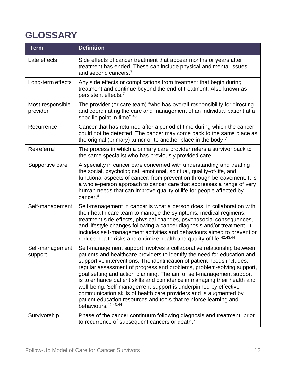# <span id="page-12-0"></span>**GLOSSARY**

<span id="page-12-3"></span><span id="page-12-2"></span><span id="page-12-1"></span>

| <b>Term</b>                  | <b>Definition</b>                                                                                                                                                                                                                                                                                                                                                                                                                                                                                                                                                                                                                                                                              |
|------------------------------|------------------------------------------------------------------------------------------------------------------------------------------------------------------------------------------------------------------------------------------------------------------------------------------------------------------------------------------------------------------------------------------------------------------------------------------------------------------------------------------------------------------------------------------------------------------------------------------------------------------------------------------------------------------------------------------------|
| Late effects                 | Side effects of cancer treatment that appear months or years after<br>treatment has ended. These can include physical and mental issues<br>and second cancers. <sup>7</sup>                                                                                                                                                                                                                                                                                                                                                                                                                                                                                                                    |
| Long-term effects            | Any side effects or complications from treatment that begin during<br>treatment and continue beyond the end of treatment. Also known as<br>persistent effects. <sup>7</sup>                                                                                                                                                                                                                                                                                                                                                                                                                                                                                                                    |
| Most responsible<br>provider | The provider (or care team) "who has overall responsibility for directing<br>and coordinating the care and management of an individual patient at a<br>specific point in time". <sup>40</sup>                                                                                                                                                                                                                                                                                                                                                                                                                                                                                                  |
| Recurrence                   | Cancer that has returned after a period of time during which the cancer<br>could not be detected. The cancer may come back to the same place as<br>the original (primary) tumor or to another place in the body. <sup>7</sup>                                                                                                                                                                                                                                                                                                                                                                                                                                                                  |
| Re-referral                  | The process in which a primary care provider refers a survivor back to<br>the same specialist who has previously provided care.                                                                                                                                                                                                                                                                                                                                                                                                                                                                                                                                                                |
| Supportive care              | A specialty in cancer care concerned with understanding and treating<br>the social, psychological, emotional, spiritual, quality-of-life, and<br>functional aspects of cancer, from prevention through bereavement. It is<br>a whole-person approach to cancer care that addresses a range of very<br>human needs that can improve quality of life for people affected by<br>cancer. <sup>41</sup>                                                                                                                                                                                                                                                                                             |
| Self-management              | Self-management in cancer is what a person does, in collaboration with<br>their health care team to manage the symptoms, medical regimens,<br>treatment side-effects, physical changes, psychosocial consequences,<br>and lifestyle changes following a cancer diagnosis and/or treatment. It<br>includes self-management activities and behaviours aimed to prevent or<br>reduce health risks and optimize health and quality of life. <sup>42,43,44</sup>                                                                                                                                                                                                                                    |
| Self-management<br>support   | Self-management support involves a collaborative relationship between<br>patients and healthcare providers to identify the need for education and<br>supportive interventions. The identification of patient needs includes:<br>regular assessment of progress and problems, problem-solving support,<br>goal setting and action planning. The aim of self-management support<br>is to enhance patient skills and confidence in managing their health and<br>well-being. Self-management support is underpinned by effective<br>communication skills of health care providers and is augmented by<br>patient education resources and tools that reinforce learning and<br>behaviours. 42,43,44 |
| Survivorship                 | Phase of the cancer continuum following diagnosis and treatment, prior<br>to recurrence of subsequent cancers or death. <sup>7</sup>                                                                                                                                                                                                                                                                                                                                                                                                                                                                                                                                                           |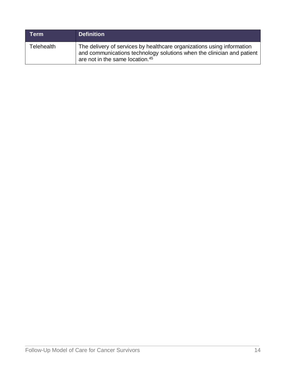| Term       | <b>Definition</b>                                                                                                                                                                               |
|------------|-------------------------------------------------------------------------------------------------------------------------------------------------------------------------------------------------|
| Telehealth | The delivery of services by healthcare organizations using information<br>and communications technology solutions when the clinician and patient<br>are not in the same location. <sup>45</sup> |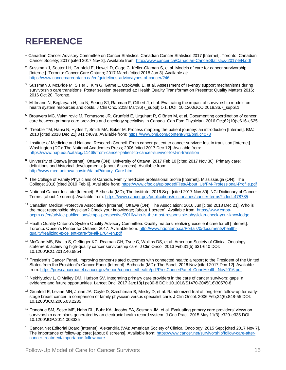# **REFERENCE**

- <sup>1</sup> Canadian Cancer Advisory Committee on Cancer Statistics. Canadian Cancer Statistics 2017 [Internet]. Toronto: Canadian Cancer Society; 2017 [cited 2017 Nov 2]. Available from:<http://www.cancer.ca/Canadian-CancerStatistics-2017-EN.pdf>
- 2 Sussman J, Souter LH, Grunfeld E, Howell D, Gage C, Keller-Olaman S, et al. Models of care for cancer survivorship [Internet]. Toronto: Cancer Care Ontario; 2017 March [cited 2018 Jan 3]. Available at: <https://www.cancercareontario.ca/en/guidelines-advice/types-of-cancer/246>
- 3 Sussman J, McBride M, Sisler J, Kim G, Game L, Ozokwelu E, et al. Assessment of re-entry support mechanisms during survivorship care transitions. Poster session presented at: Health Quality Transformation Presents: Quality Matters 2016; 2016 Oct 20; Toronto.
- 4 Mittmann N, Beglaryan H, Liu N, Seung SJ, Rahman F, Gilbert J, et al. Evaluating the impact of survivorship models on health system resources and costs. J Clin Onc. 2018 Mar;36(7\_suppl):1-1. DOI: 10.1200/JCO.2018.36.7\_suppl.1
- 5 Brouwers MC, Vukmirovic M, Tomasone JR, Grunfeld E, Urquhart R, O'Brien M, et al. Documenting coordination of cancer care between primary care providers and oncology specialists in Canada. Can Fam Physician. 2016 Oct;62(10):e616-e625.
- 6 Trebble TM, Hansi N, Hydes T, Smith MA, Baker M. Process mapping the patient journey: an introduction [Internet]. BMJ. 2010 [cited 2018 Dec 21];341:c4078. Available from:<https://www.bmj.com/content/341/bmj.c4078>
- <sup>7</sup> Institute of Medicine and National Research Council. From cancer patient to cancer survivor: lost in transition [Internet]. Washington (DC): The National Academies Press; 2006 [cited 2017 Dec 12]. Available from: <https://www.nap.edu/catalog/11468/from-cancer-patient-to-cancer-survivor-lost-in-transition>
- <sup>8</sup> University of Ottawa [Internet]. Ottawa (ON): University of Ottawa; 2017 Feb 10 [cited 2017 Nov 30]. Primary care: definitions and historical developments; [about 6 screens]. Available from: [http://www.med.uottawa.ca/sim/data/Primary\\_Care.htm](http://www.med.uottawa.ca/sim/data/Primary_Care.htm)
- 9 The College of Family Physicians of Canada. Family medicine professional profile [Internet]. Mississauga (ON): The College; 2018 [cited 2019 Feb 6]. Available from: [https://www.cfpc.ca/uploadedFiles/About\\_Us/FM-Professional-Profile.pdf](https://www.cfpc.ca/uploadedFiles/About_Us/FM-Professional-Profile.pdf)
- <sup>10</sup> National Cancer Institute [Internet]. Bethesda (MD); The Institute; 2016 Sept [cited 2017 Nov 30]. NCI Dictionary of Cancer Terms; [about 1 screen]. Available from:<https://www.cancer.gov/publications/dictionaries/cancer-terms?cdrid=478785>
- <sup>11</sup> Canadian Medical Protective Association [Internet]. Ottawa (ON): The Association; 2016 Jun [cited 2018 Dec 21]. Who is the most responsible physician? Check your knowledge; [about 1 screen]. Available from: [https://www.cmpa](https://www.cmpa-acpm.ca/en/advice-publications/cmpa-perspective/2016/who-is-the-most-responsible-physician-check-your-knowledge)[acpm.ca/en/advice-publications/cmpa-perspective/2016/who-is-the-most-responsible-physician-check-your-knowledge](https://www.cmpa-acpm.ca/en/advice-publications/cmpa-perspective/2016/who-is-the-most-responsible-physician-check-your-knowledge)
- <sup>12</sup> Health Quality Ontario's System Quality Advisory Committee. Quality matters: realizing excellent care for all [Internet]. Toronto: Queen's Printer for Ontario; 2017. Available from[: http://www.hqontario.ca/Portals/0/documents/health](http://www.hqontario.ca/Portals/0/documents/health-quality/realizing-excellent-care-for-all-1704-en.pdf)[quality/realizing-excellent-care-for-all-1704-en.pdf](http://www.hqontario.ca/Portals/0/documents/health-quality/realizing-excellent-care-for-all-1704-en.pdf)
- <sup>13</sup> McCabe MS, Bhatia S, Oeffinger KC, Reaman GH, Tyne C, Wollins DS, et al. American Society of Clinical Oncology statement: achieving high-quality cancer survivorship care. J Clin Oncol. 2013 Feb;31(5):631-640 DOI: 10.1200/JCO.2012.46.6854
- <sup>14</sup> President's Cancer Panel. Improving cancer-related outcomes with connected health: a report to the President of the United States from the President's Cancer Panel [Internet]. Bethesda (MD): The Panel; 2016 Nov [cited 2017 Dec 12]. Available from: [https://prescancerpanel.cancer.gov/report/connectedhealth/pdf/PresCancerPanel\\_ConnHealth\\_Nov2016.pdf](https://prescancerpanel.cancer.gov/report/connectedhealth/pdf/PresCancerPanel_ConnHealth_Nov2016.pdf)
- <sup>15</sup> Nekhlyudov L, O'Malley DM, Hudson SV. Integrating primary care providers in the care of cancer survivors: gaps in evidence and future opportunities. Lancet Onc. 2017 Jan;18(1):e30-8 DOI: 10.1016/S1470-2045(16)30570-8
- <sup>16</sup> Grunfeld E, Levine MN, Julian JA, Coyle D, Szechtman B, Mirsky D, et al. Randomized trial of long-term follow-up for earlystage breast cancer: a comparison of family physician versus specialist care. J Clin Oncol. 2006 Feb;24(6):848-55 DOI: 10.1200/JCO.2005.03.2235
- <sup>17</sup> Donohue SM, Sesto ME, Hahn DL, Buhr KA, Jacobs EA, Sosman JM, et al. Evaluating primary care providers' views on survivorship care plans generated by an electronic health record system. J Onc Pract. 2015 May;11(3):e329-e335 DOI: 10.1200/JOP.2014.003335
- <sup>18</sup> Cancer.Net Editorial Board [Internet]. Alexandria (VA): American Society of Clinical Oncology; 2015 Sept [cited 2017 Nov 7]. The importance of follow-up care; [about 6 screens]. Available from: [https://www.cancer.net/survivorship/follow-care-after](https://www.cancer.net/survivorship/follow-care-after-cancer-treatment/importance-follow-care)[cancer-treatment/importance-follow-care](https://www.cancer.net/survivorship/follow-care-after-cancer-treatment/importance-follow-care)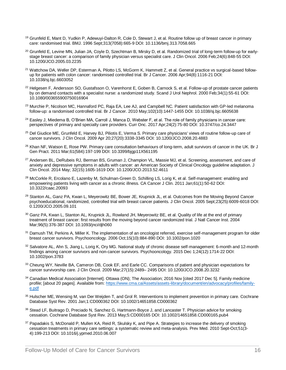- <sup>19</sup> Grunfeld E, Mant D, Yudkin P, Adewuyi-Dalton R, Cole D, Stewart J, et al. Routine follow up of breast cancer in primary care: randomised trial. BMJ. 1996 Sept;313(7058):665-9 DOI: 10.1136/bmj.313.7058.665
- <sup>20</sup> Grunfeld E, Levine MN, Julian JA, Coyle D, Szechtman B, Mirsky D, et al. Randomized trial of long-term follow-up for earlystage breast cancer: a comparison of family physician versus specialist care. J Clin Oncol. 2006 Feb;24(6):848-55 DOI: 10.1200/JCO.2005.03.2235
- <sup>21</sup> Wattchow DA, Weller DP, Esterman A, Pilotto LS, McGorm K, Hammett Z, et al. General practice vs surgical-based followup for patients with colon cancer: randomised controlled trial. Br J Cancer. 2006 Apr;94(8):1116-21 DOI: 10.1038/sj.bjc.6603052
- <sup>22</sup> Helgesen F, Andersson SO, Gustafsson O, Varenhorst E, Goben B, Carnock S, et al. Follow-up of prostate cancer patients by on demand contacts with a specialist nurse: a randomized study. Scand J Urol Nephrol. 2000 Feb;34(1):55-61 DOI: 10.1080/003655900750016904
- <sup>23</sup> Murchie P, Nicolson MC, Hannaford PC, Raja EA, Lee AJ, and Campbell NC. Patient satisfaction with GP-led melanoma follow-up: a randomised controlled trial. Br J Cancer. 2010 May;102(10):1447-1455 DOI: 10.1038/sj.bjc.6605638
- <sup>24</sup> Easlev J. Miedema B. O'Brien MA, Carroll J. Manca D, Webster F, et al. The role of family physicians in cancer care: perspectives of primary and specialty care providers. Curr Onc. 2017 Apr;24(2):75-80 DOI: 10.3747/co.24.3447
- <sup>25</sup> Del Giudice ME, Grunfeld E, Harvey BJ, Piliotis E, Verma S. Primary care physicians' views of routine follow-up care of cancer survivors. J Clin Oncol. 2009 Apr 20;27(20):3338-3345 DOI: 10.1200/JCO.2008.20.4883
- <sup>26</sup> Khan NF, Watson E, Rose PW. Primary care consultation behaviours of long-term, adult survivors of cancer in the UK. Br J Gen Pract. 2011 Mar;61(584):197-199 DOI: 10.3399/bjgp11X561195
- <sup>27</sup> Andersen BL, DeRubeis RJ, Berman BS, Gruman J, Champion VL, Massie MJ, et al. Screening, assessment, and care of anxiety and depressive symptoms in adults with cancer: an American Society of Clinical Oncology guideline adaptation. J Clin Oncol. 2014 May; 32(15):1605-1619 DOI: 10.1200/JCO.2013.52.4611
- <sup>28</sup> McCorkle R, Ercolano E, Lazenby M, Schulman-Green D, Schilling LS, Lorig K, et al. Self-management: enabling and empowering patients living with cancer as a chronic illness. CA Cancer J Clin. 2011 Jan;61(1):50-62 DOI: 10.3322/caac.20093
- <sup>29</sup> Stanton AL, Ganz PA, Kwan L, Meyerowitz BE, Bower JE, Krupnick JL, et al. Outcomes from the Moving Beyond Cancer psychoeducational, randomized, controlled trial with breast cancer patients. J Clin Oncol. 2005 Sept;23(25):6009-6018 DOI: 0.1200/JCO.2005.09.101
- <sup>30</sup> Ganz PA, Kwan L, Stanton AL, Krupnick JL, Rowland JH, Meyerowitz BE, et al. Quality of life at the end of primary treatment of breast cancer: first results from the moving beyond cancer randomized trial. J Natl Cancer Inst. 2004 Mar;96(5):376-387 DOI: 10.1093/jnci/djh060
- <sup>31</sup> Damush TM, Perkins A, Miller K. The implementation of an oncologist referred, exercise self-management program for older breast cancer survivors. Psychooncology. 2006 Oct;15(10):884-890 DOI: 10.1002/pon.1020
- 32 Salvatore AL, Ahn S, Jiang L, Lorig K, Ory MG. National study of chronic disease self-management: 6-month and 12-month findings among cancer survivors and non-cancer survivors. Psychooncology. 2015 Dec 1;24(12):1714-22 DOI: 10.1002/pon.3783
- 33 Cheung WY, Neville BA, Cameron DB, Cook EF, and Earle CC. Comparisons of patient and physician expectations for cancer survivorship care. J Clin Oncol. 2009 Mar;27(15):2489– 2495 DOI: 10.1200/JCO.2008.20.3232
- <sup>34</sup> Canadian Medical Association [Internet]. Ottawa (ON); The Association; 2016 Nov [cited 2017 Dec 5]. Family medicine profile; [about 20 pages]. Available from[: https://www.cma.ca/Assets/assets-library/document/en/advocacy/profiles/family](https://www.cma.ca/Assets/assets-library/document/en/advocacy/profiles/family-e.pdf)[e.pdf](https://www.cma.ca/Assets/assets-library/document/en/advocacy/profiles/family-e.pdf)
- <sup>35</sup> Hulscher ME, Wensing M, van Der Weijden T, and Grol R. Interventions to implement prevention in primary care. Cochrane Database Syst Rev. 2001 Jan;1:CD000362 DOI: 10.1002/14651858.CD000362
- 36 Stead LF, Buitrago D, Preciado N, Sanchez G, Hartmann-Boyce J, and Lancaster T. Physician advice for smoking cessation. Cochrane Database Syst Rev. 2013 May;5:CD000165 DOI: 10.1002/14651858.CD000165.pub4
- 37 Papadakis S, McDonald P, Mullen KA, Reid R, Skulsky K, and Pipe A. Strategies to increase the delivery of smoking cessation treatments in primary care settings: a systematic review and meta-analysis. Prev Med. 2010 Sept-Oct;51(3- 4):199-213 DOI: 10.1016/j.ypmed.2010.06.007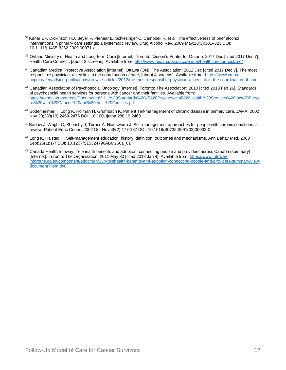- 38 Kaner EF, Dickinson HO, Beyer F, Pienaar E, Schlesinger C, Campbell F, et al. The effectiveness of brief alcohol interventions in primary care settings: a systematic review. Drug Alcohol Rev. 2009 May;28(3):301–323 DOI: 10.1111/j.1465-3362.2009.00071.x
- <sup>39</sup> Ontario Ministry of Health and Long-term Care [Internet]. Toronto: Queen's Printer for Ontario; 2017 Dec [cited 2017 Dec 7]. Health Care Connect; [about 2 screens]. Available from:<http://www.health.gov.on.ca/en/ms/healthcareconnect/pro/>
- <sup>40</sup> Canadian Medical Protective Association [Internet]. Ottawa (ON): The Association; 2012 Dec [cited 2017 Dec 7]. The most responsible physician: a key link in the coordination of care; [about 4 screens]. Available from[: https://www.cmpa](https://www.cmpa-acpm.ca/en/advice-publications/browse-articles/2012/the-most-responsible-physician-a-key-link-in-the-coordination-of-care)[acpm.ca/en/advice-publications/browse-articles/2012/the-most-responsible-physician-a-key-link-in-the-coordination-of-care](https://www.cmpa-acpm.ca/en/advice-publications/browse-articles/2012/the-most-responsible-physician-a-key-link-in-the-coordination-of-care)
- <sup>41</sup> Canadian Association of Psychosocial Oncology [Internet]. Toronto: The Association; 2010 [cited 2018 Feb 26]. Standards of psychosocial health services for persons with cancer and their families. Available from: [https://capo.ca/resources/Documents/3.11.%20Standards%20of%20Psychosocial%20Health%20Services%20for%20Perso](https://capo.ca/resources/Documents/3.11.%20Standards%20of%20Psychosocial%20Health%20Services%20for%20Persons%20with%20Cancer%20and%20their%20Families.pdf) [ns%20with%20Cancer%20and%20their%20Families.pdf](https://capo.ca/resources/Documents/3.11.%20Standards%20of%20Psychosocial%20Health%20Services%20for%20Persons%20with%20Cancer%20and%20their%20Families.pdf)
- <sup>42</sup> Bodenheimer T, Lorig K, Holman H, Grumbach K. Patient self-management of chronic disease in primary care. JAMA. 2002 Nov 20;288(19):2469-2475 DOI: 10.1001/jama.288.19.2469
- <sup>43</sup> Barlow J, Wright C, Sheasby J, Turner A, Hainsworth J. Self-management approaches for people with chronic conditions: a review. Patient Educ Couns. 2002 Oct-Nov;48(2):177-187 DOI: 10.1016/S0738-3991(02)00032-0
- <sup>44</sup> Lorig K, Halsted H. Self-management education: history, definition, outcomes and mechanisms. Ann Behav Med. 2003 Sept;26(1):1-7 DOI: 10.1207/S15324796ABM2601\_01
- <sup>45</sup> Canada Health Infoway. Telehealth benefits and adoption: connecting people and providers across Canada (summary) [Internet]. Toronto: The Organization; 2011 May 30 [cited 2018 Jan 4]. Available from: [https://www.infoway](https://www.infoway-inforoute.ca/en/component/edocman/334-telehealth-benefits-and-adoption-connecting-people-and-providers-summary/view-document?Itemid=0)[inforoute.ca/en/component/edocman/334-telehealth-benefits-and-adoption-connecting-people-and-providers-summary/view](https://www.infoway-inforoute.ca/en/component/edocman/334-telehealth-benefits-and-adoption-connecting-people-and-providers-summary/view-document?Itemid=0)[document?Itemid=0](https://www.infoway-inforoute.ca/en/component/edocman/334-telehealth-benefits-and-adoption-connecting-people-and-providers-summary/view-document?Itemid=0)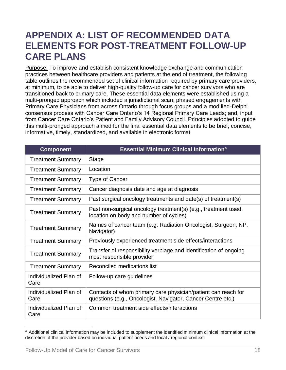## <span id="page-17-0"></span>**APPENDIX A: LIST OF RECOMMENDED DATA ELEMENTS FOR POST-TREATMENT FOLLOW-UP CARE PLANS**

Purpose: To improve and establish consistent knowledge exchange and communication practices between healthcare providers and patients at the end of treatment, the following table outlines the recommended set of clinical information required by primary care providers, at minimum, to be able to deliver high-quality follow-up care for cancer survivors who are transitioned back to primary care. These essential data elements were established using a multi-pronged approach which included a jurisdictional scan; phased engagements with Primary Care Physicians from across Ontario through focus groups and a modified-Delphi consensus process with Cancer Care Ontario's 14 Regional Primary Care Leads; and, input from Cancer Care Ontario's Patient and Family Advisory Council. Principles adopted to guide this multi-pronged approach aimed for the final essential data elements to be brief, concise, informative, timely, standardized, and available in electronic format.

| <b>Component</b>               | <b>Essential Minimum Clinical Information<sup>a</sup></b>                                                                    |
|--------------------------------|------------------------------------------------------------------------------------------------------------------------------|
| <b>Treatment Summary</b>       | Stage                                                                                                                        |
| <b>Treatment Summary</b>       | Location                                                                                                                     |
| <b>Treatment Summary</b>       | <b>Type of Cancer</b>                                                                                                        |
| <b>Treatment Summary</b>       | Cancer diagnosis date and age at diagnosis                                                                                   |
| <b>Treatment Summary</b>       | Past surgical oncology treatments and date(s) of treatment(s)                                                                |
| <b>Treatment Summary</b>       | Past non-surgical oncology treatment(s) (e.g., treatment used,<br>location on body and number of cycles)                     |
| <b>Treatment Summary</b>       | Names of cancer team (e.g. Radiation Oncologist, Surgeon, NP,<br>Navigator)                                                  |
| <b>Treatment Summary</b>       | Previously experienced treatment side effects/interactions                                                                   |
| <b>Treatment Summary</b>       | Transfer of responsibility verbiage and identification of ongoing<br>most responsible provider                               |
| <b>Treatment Summary</b>       | Reconciled medications list                                                                                                  |
| Individualized Plan of<br>Care | Follow-up care guidelines                                                                                                    |
| Individualized Plan of<br>Care | Contacts of whom primary care physician/patient can reach for<br>questions (e.g., Oncologist, Navigator, Cancer Centre etc.) |
| Individualized Plan of<br>Care | Common treatment side effects/interactions                                                                                   |

a Additional clinical information may be included to supplement the identified minimum clinical information at the discretion of the provider based on individual patient needs and local / regional context.

 $\overline{a}$